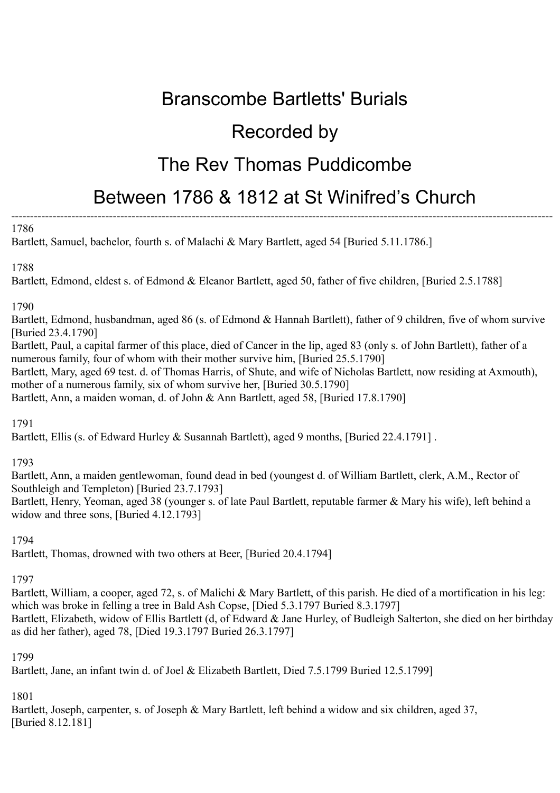# Branscombe Bartletts' Burials

# Recorded by

# The Rev Thomas Puddicombe

# Between 1786 & 1812 at St Winifred's Church

#### ------------------------------------------------------------------------------------------------------------------------------------------------ 1786

Bartlett, Samuel, bachelor, fourth s. of Malachi & Mary Bartlett, aged 54 [Buried 5.11.1786.]

### 1788

Bartlett, Edmond, eldest s. of Edmond & Eleanor Bartlett, aged 50, father of five children, [Buried 2.5.1788]

### 1790

Bartlett, Edmond, husbandman, aged 86 (s. of Edmond & Hannah Bartlett), father of 9 children, five of whom survive [Buried 23.4.1790]

Bartlett, Paul, a capital farmer of this place, died of Cancer in the lip, aged 83 (only s. of John Bartlett), father of a numerous family, four of whom with their mother survive him, [Buried 25.5.1790]

Bartlett, Mary, aged 69 test. d. of Thomas Harris, of Shute, and wife of Nicholas Bartlett, now residing at Axmouth), mother of a numerous family, six of whom survive her, [Buried 30.5.1790]

Bartlett, Ann, a maiden woman, d. of John & Ann Bartlett, aged 58, [Buried 17.8.1790]

1791

Bartlett, Ellis (s. of Edward Hurley & Susannah Bartlett), aged 9 months, [Buried 22.4.1791].

### 1793

Bartlett, Ann, a maiden gentlewoman, found dead in bed (youngest d. of William Bartlett, clerk, A.M., Rector of Southleigh and Templeton) [Buried 23.7.1793]

Bartlett, Henry, Yeoman, aged 38 (younger s. of late Paul Bartlett, reputable farmer & Mary his wife), left behind a widow and three sons, [Buried 4.12.1793]

1794

Bartlett, Thomas, drowned with two others at Beer, [Buried 20.4.1794]

## 1797

Bartlett, William, a cooper, aged 72, s. of Malichi & Mary Bartlett, of this parish. He died of a mortification in his leg: which was broke in felling a tree in Bald Ash Copse, [Died 5.3.1797 Buried 8.3.1797] Bartlett, Elizabeth, widow of Ellis Bartlett (d, of Edward & Jane Hurley, of Budleigh Salterton, she died on her birthday as did her father), aged 78, [Died 19.3.1797 Buried 26.3.1797]

### 1799

Bartlett, Jane, an infant twin d. of Joel & Elizabeth Bartlett, Died 7.5.1799 Buried 12.5.1799]

1801

Bartlett, Joseph, carpenter, s. of Joseph & Mary Bartlett, left behind a widow and six children, aged 37, [Buried 8.12.181]